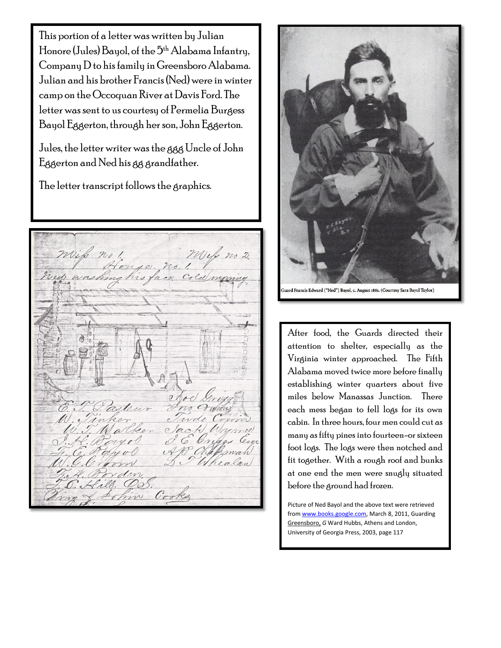This portion of a letter was written by Julian Honore (Jules) Bayol, of the 5th Alabama Infantry, Company D to his family in Greensboro Alabama. Julian and his brother Francis (Ned) were in winter camp on the Occoquan River at Davis Ford. The letter was sent to us courtesy of Permelia Burgess Bayol Eggerton, through her son, John Eggerton.

Jules, the letter writer was the ggg Uncle of John Eggerton and Ned his gg grandfather.

The letter transcript follows the graphics.

Mely no 2 mik no! ouse. his face, in  $\overline{\mathcal{C}}$ Whe Cooks ohin



ard Francis Edward ("Ned") Bayol, c. August 1861. (Courtesy Sara Bayol Taylor)

After food, the Guards directed their attention to shelter, especially as the Virginia winter approached. The Fifth Alabama moved twice more before finally establishing winter quarters about five miles below Manassas Junction. There each mess began to fell logs for its own cabin. In three hours, four men could cut as many as fifty pines into fourteen-or sixteen foot logs. The logs were then notched and fit together. With a rough roof and bunks at one end the men were snugly situated before the ground had frozen.

Picture of Ned Bayol and the above text were retrieved fro[m www.books.google.com,](http://www.books.google.com/) March 8, 2011, Guarding Greensboro, *G* Ward Hubbs, Athens and London, University of Georgia Press, 2003, page 117